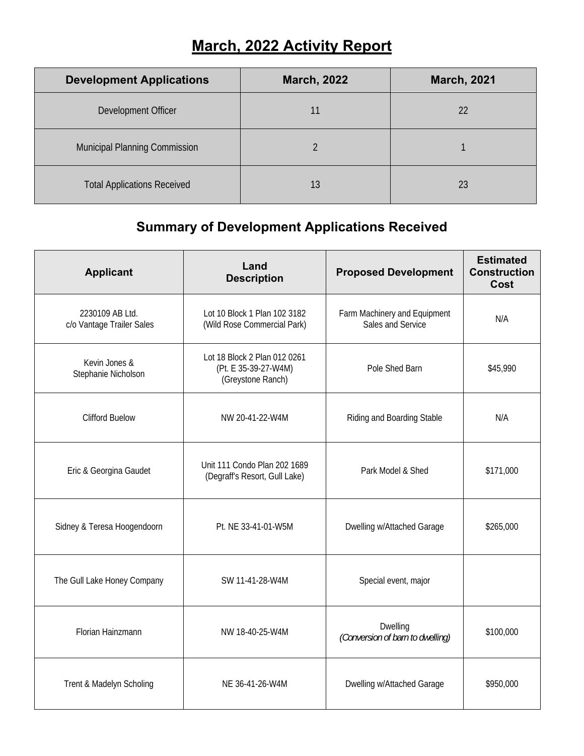## **March, 2022 Activity Report**

| <b>Development Applications</b>    | <b>March, 2022</b> | <b>March, 2021</b> |
|------------------------------------|--------------------|--------------------|
| Development Officer                |                    | 22                 |
| Municipal Planning Commission      |                    |                    |
| <b>Total Applications Received</b> | 13                 | 23                 |

## **Summary of Development Applications Received**

| <b>Applicant</b>                             | Land<br><b>Description</b>                                                | <b>Proposed Development</b>                       | <b>Estimated</b><br><b>Construction</b><br>Cost |
|----------------------------------------------|---------------------------------------------------------------------------|---------------------------------------------------|-------------------------------------------------|
| 2230109 AB Ltd.<br>c/o Vantage Trailer Sales | Lot 10 Block 1 Plan 102 3182<br>(Wild Rose Commercial Park)               | Farm Machinery and Equipment<br>Sales and Service | N/A                                             |
| Kevin Jones &<br>Stephanie Nicholson         | Lot 18 Block 2 Plan 012 0261<br>(Pt. E 35-39-27-W4M)<br>(Greystone Ranch) | Pole Shed Barn                                    | \$45,990                                        |
| <b>Clifford Buelow</b>                       | NW 20-41-22-W4M                                                           | Riding and Boarding Stable                        | N/A                                             |
| Eric & Georgina Gaudet                       | Unit 111 Condo Plan 202 1689<br>(Degraff's Resort, Gull Lake)             | Park Model & Shed                                 | \$171,000                                       |
| Sidney & Teresa Hoogendoorn                  | Pt. NE 33-41-01-W5M                                                       | Dwelling w/Attached Garage                        | \$265,000                                       |
| The Gull Lake Honey Company                  | SW 11-41-28-W4M                                                           | Special event, major                              |                                                 |
| Florian Hainzmann                            | NW 18-40-25-W4M                                                           | Dwelling<br>(Conversion of barn to dwelling)      | \$100,000                                       |
| Trent & Madelyn Scholing                     | NE 36-41-26-W4M                                                           | Dwelling w/Attached Garage                        | \$950,000                                       |